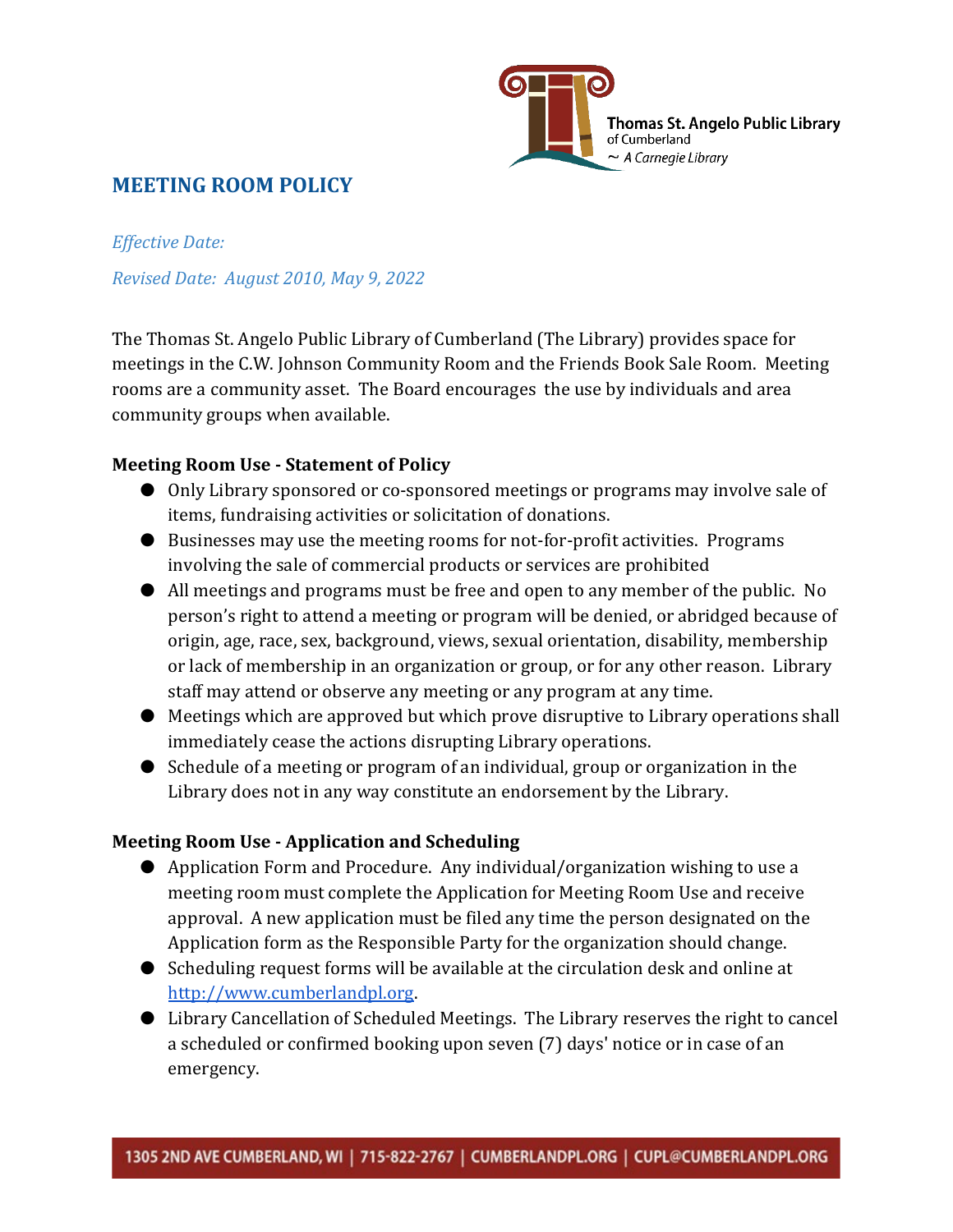

## **MEETING ROOM POLICY**

*Effective Date: Revised Date: August 2010, May 9, 2022*

The Thomas St. Angelo Public Library of Cumberland (The Library) provides space for meetings in the C.W. Johnson Community Room and the Friends Book Sale Room. Meeting rooms are a community asset. The Board encourages the use by individuals and area community groups when available.

### **Meeting Room Use - Statement of Policy**

- Only Library sponsored or co-sponsored meetings or programs may involve sale of items, fundraising activities or solicitation of donations.
- Businesses may use the meeting rooms for not-for-profit activities. Programs involving the sale of commercial products or services are prohibited
- All meetings and programs must be free and open to any member of the public. No person's right to attend a meeting or program will be denied, or abridged because of origin, age, race, sex, background, views, sexual orientation, disability, membership or lack of membership in an organization or group, or for any other reason. Library staff may attend or observe any meeting or any program at any time.
- Meetings which are approved but which prove disruptive to Library operations shall immediately cease the actions disrupting Library operations.
- Schedule of a meeting or program of an individual, group or organization in the Library does not in any way constitute an endorsement by the Library.

#### **Meeting Room Use - Application and Scheduling**

- Application Form and Procedure. Any individual/organization wishing to use a meeting room must complete the Application for Meeting Room Use and receive approval. A new application must be filed any time the person designated on the Application form as the Responsible Party for the organization should change.
- Scheduling request forms will be available at the circulation desk and online at [http://www.cumberlandpl.org.](http://www.cumberlandpl.org/)
- Library Cancellation of Scheduled Meetings. The Library reserves the right to cancel a scheduled or confirmed booking upon seven (7) days' notice or in case of an emergency.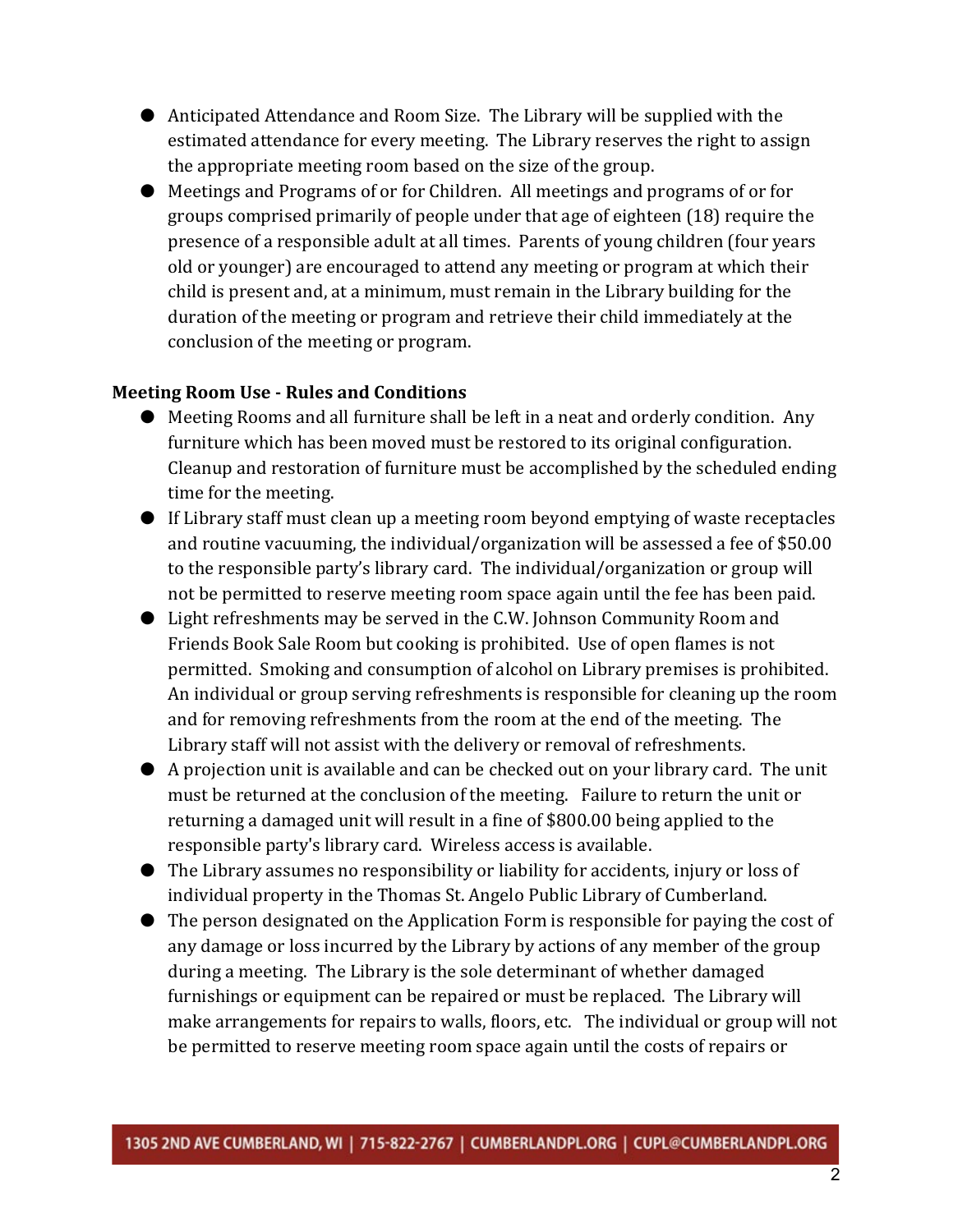- Anticipated Attendance and Room Size. The Library will be supplied with the estimated attendance for every meeting. The Library reserves the right to assign the appropriate meeting room based on the size of the group.
- Meetings and Programs of or for Children. All meetings and programs of or for groups comprised primarily of people under that age of eighteen (18) require the presence of a responsible adult at all times. Parents of young children (four years old or younger) are encouraged to attend any meeting or program at which their child is present and, at a minimum, must remain in the Library building for the duration of the meeting or program and retrieve their child immediately at the conclusion of the meeting or program.

#### **Meeting Room Use - Rules and Conditions**

- Meeting Rooms and all furniture shall be left in a neat and orderly condition. Any furniture which has been moved must be restored to its original configuration. Cleanup and restoration of furniture must be accomplished by the scheduled ending time for the meeting.
- If Library staff must clean up a meeting room beyond emptying of waste receptacles and routine vacuuming, the individual/organization will be assessed a fee of \$50.00 to the responsible party's library card. The individual/organization or group will not be permitted to reserve meeting room space again until the fee has been paid.
- Light refreshments may be served in the C.W. Johnson Community Room and Friends Book Sale Room but cooking is prohibited. Use of open flames is not permitted. Smoking and consumption of alcohol on Library premises is prohibited. An individual or group serving refreshments is responsible for cleaning up the room and for removing refreshments from the room at the end of the meeting. The Library staff will not assist with the delivery or removal of refreshments.
- A projection unit is available and can be checked out on your library card. The unit must be returned at the conclusion of the meeting. Failure to return the unit or returning a damaged unit will result in a fine of \$800.00 being applied to the responsible party's library card. Wireless access is available.
- The Library assumes no responsibility or liability for accidents, injury or loss of individual property in the Thomas St. Angelo Public Library of Cumberland.
- The person designated on the Application Form is responsible for paying the cost of any damage or loss incurred by the Library by actions of any member of the group during a meeting. The Library is the sole determinant of whether damaged furnishings or equipment can be repaired or must be replaced. The Library will make arrangements for repairs to walls, floors, etc. The individual or group will not be permitted to reserve meeting room space again until the costs of repairs or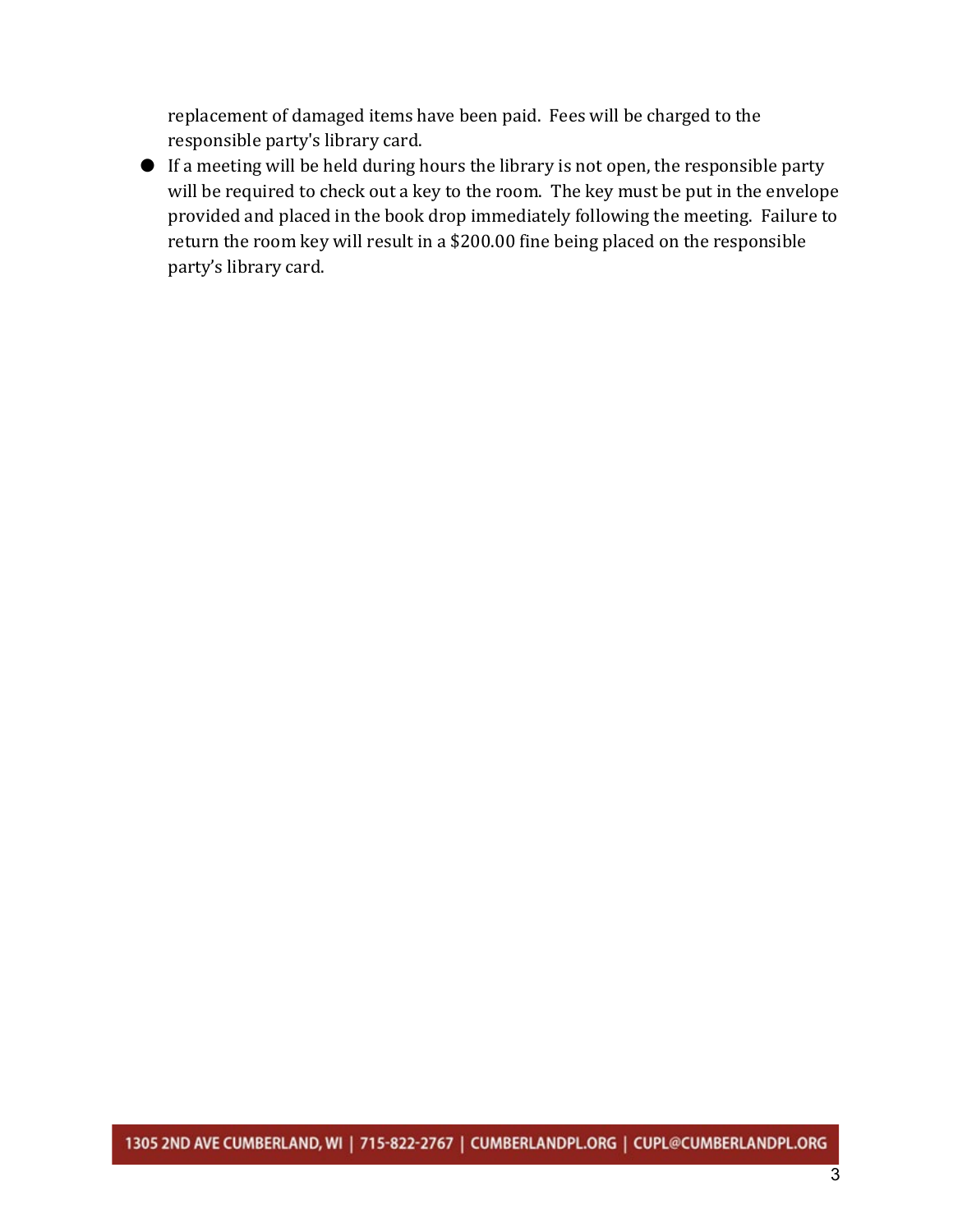replacement of damaged items have been paid. Fees will be charged to the responsible party's library card.

● If a meeting will be held during hours the library is not open, the responsible party will be required to check out a key to the room. The key must be put in the envelope provided and placed in the book drop immediately following the meeting. Failure to return the room key will result in a \$200.00 fine being placed on the responsible party's library card.